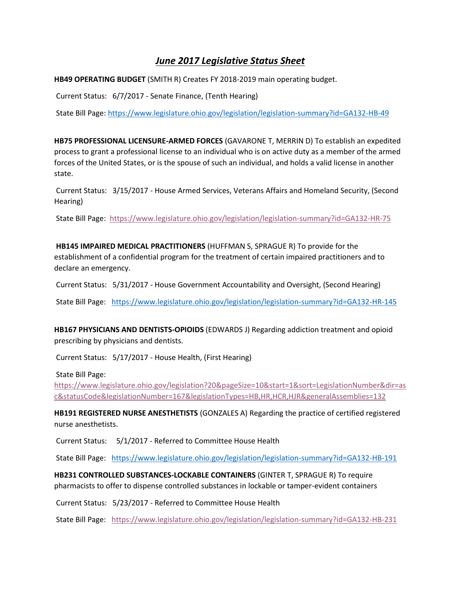## *June 2017 Legislative Status Sheet*

**HB49 OPERATING BUDGET** (SMITH R) Creates FY 2018-2019 main operating budget.

Current Status: 6/7/2017 - Senate Finance, (Tenth Hearing)

State Bill Page:<https://www.legislature.ohio.gov/legislation/legislation-summary?id=GA132-HB-49>

**HB75 PROFESSIONAL LICENSURE-ARMED FORCES** (GAVARONE T, MERRIN D) To establish an expedited process to grant a professional license to an individual who is on active duty as a member of the armed forces of the United States, or is the spouse of such an individual, and holds a valid license in another state.

Current Status: 3/15/2017 - House Armed Services, Veterans Affairs and Homeland Security, (Second Hearing)

State Bill Page:<https://www.legislature.ohio.gov/legislation/legislation-summary?id=GA132-HR-75>

**HB145 IMPAIRED MEDICAL PRACTITIONERS** (HUFFMAN S, SPRAGUE R) To provide for the establishment of a confidential program for the treatment of certain impaired practitioners and to declare an emergency.

Current Status: 5/31/2017 - House Government Accountability and Oversight, (Second Hearing)

State Bill Page: <https://www.legislature.ohio.gov/legislation/legislation-summary?id=GA132-HR-145>

**HB167 PHYSICIANS AND DENTISTS-OPIOIDS** (EDWARDS J) Regarding addiction treatment and opioid prescribing by physicians and dentists.

Current Status: 5/17/2017 - House Health, (First Hearing)

State Bill Page:

[https://www.legislature.ohio.gov/legislation?20&pageSize=10&start=1&sort=LegislationNumber&dir=as](https://www.legislature.ohio.gov/legislation?20&pageSize=10&start=1&sort=LegislationNumber&dir=asc&statusCode&legislationNumber=167&legislationTypes=HB,HR,HCR,HJR&generalAssemblies=132) [c&statusCode&legislationNumber=167&legislationTypes=HB,HR,HCR,HJR&generalAssemblies=132](https://www.legislature.ohio.gov/legislation?20&pageSize=10&start=1&sort=LegislationNumber&dir=asc&statusCode&legislationNumber=167&legislationTypes=HB,HR,HCR,HJR&generalAssemblies=132)

**HB191 REGISTERED NURSE ANESTHETISTS** (GONZALES A) Regarding the practice of certified registered nurse anesthetists.

Current Status: 5/1/2017 - Referred to Committee House Health

State Bill Page: <https://www.legislature.ohio.gov/legislation/legislation-summary?id=GA132-HB-191>

**HB231 CONTROLLED SUBSTANCES-LOCKABLE CONTAINERS** (GINTER T, SPRAGUE R) To require pharmacists to offer to dispense controlled substances in lockable or tamper-evident containers

Current Status: 5/23/2017 - Referred to Committee House Health

State Bill Page: <https://www.legislature.ohio.gov/legislation/legislation-summary?id=GA132-HB-231>